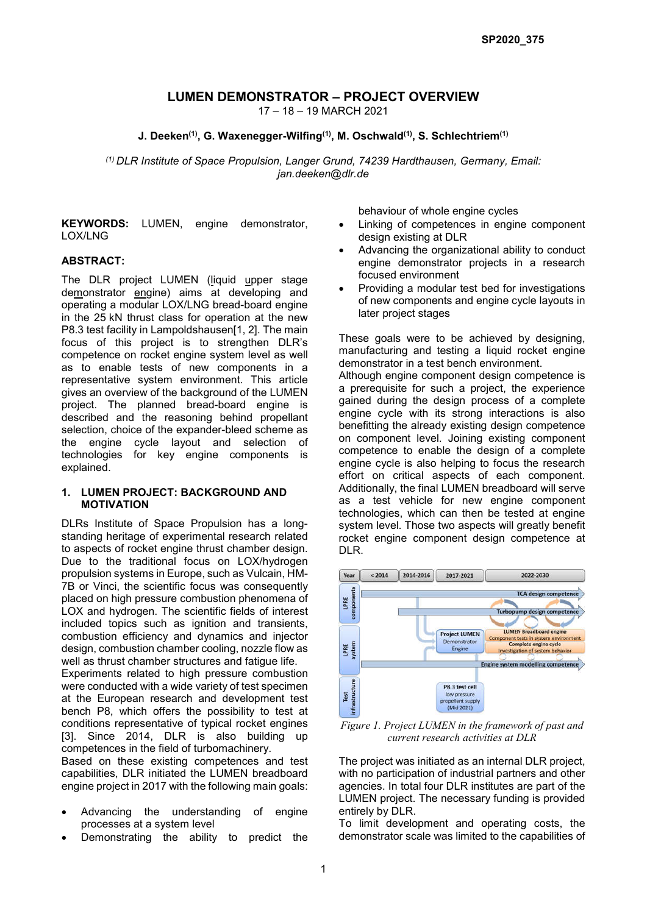# LUMEN DEMONSTRATOR – PROJECT OVERVIEW

17 – 18 – 19 MARCH 2021

### J. Deeken<sup>(1)</sup>, G. Waxenegger-Wilfing<sup>(1)</sup>, M. Oschwald<sup>(1)</sup>, S. Schlechtriem<sup>(1)</sup>

*(1) DLR Institute of Space Propulsion, Langer Grund, 74239 Hardthausen, Germany, Email: jan.deeken@dlr.de*

KEYWORDS: LUMEN, engine demonstrator, LOX/LNG

#### ABSTRACT:

The DLR project LUMEN (liquid upper stage demonstrator engine) aims at developing and operating a modular LOX/LNG bread-board engine in the 25 kN thrust class for operation at the new P8.3 test facility in Lampoldshausen[1, 2]. The main focus of this project is to strengthen DLR's competence on rocket engine system level as well as to enable tests of new components in a representative system environment. This article gives an overview of the background of the LUMEN project. The planned bread-board engine is described and the reasoning behind propellant selection, choice of the expander-bleed scheme as the engine cycle layout and selection of technologies for key engine components is explained.

#### 1. LUMEN PROJECT: BACKGROUND AND MOTIVATION

DLRs Institute of Space Propulsion has a longstanding heritage of experimental research related to aspects of rocket engine thrust chamber design. Due to the traditional focus on LOX/hydrogen propulsion systems in Europe, such as Vulcain, HM-7B or Vinci, the scientific focus was consequently placed on high pressure combustion phenomena of LOX and hydrogen. The scientific fields of interest included topics such as ignition and transients, combustion efficiency and dynamics and injector design, combustion chamber cooling, nozzle flow as well as thrust chamber structures and fatigue life.

Experiments related to high pressure combustion were conducted with a wide variety of test specimen at the European research and development test bench P8, which offers the possibility to test at conditions representative of typical rocket engines [3]. Since 2014, DLR is also building up competences in the field of turbomachinery.

Based on these existing competences and test capabilities, DLR initiated the LUMEN breadboard engine project in 2017 with the following main goals:

- Advancing the understanding of engine processes at a system level
- Demonstrating the ability to predict the

behaviour of whole engine cycles

- Linking of competences in engine component design existing at DLR
- Advancing the organizational ability to conduct engine demonstrator projects in a research focused environment
- Providing a modular test bed for investigations of new components and engine cycle layouts in later project stages

These goals were to be achieved by designing, manufacturing and testing a liquid rocket engine demonstrator in a test bench environment.

Although engine component design competence is a prerequisite for such a project, the experience gained during the design process of a complete engine cycle with its strong interactions is also benefitting the already existing design competence on component level. Joining existing component competence to enable the design of a complete engine cycle is also helping to focus the research effort on critical aspects of each component. Additionally, the final LUMEN breadboard will serve as a test vehicle for new engine component technologies, which can then be tested at engine system level. Those two aspects will greatly benefit rocket engine component design competence at DLR.



*Figure 1. Project LUMEN in the framework of past and current research activities at DLR*

The project was initiated as an internal DLR project, with no participation of industrial partners and other agencies. In total four DLR institutes are part of the LUMEN project. The necessary funding is provided entirely by DLR.

To limit development and operating costs, the demonstrator scale was limited to the capabilities of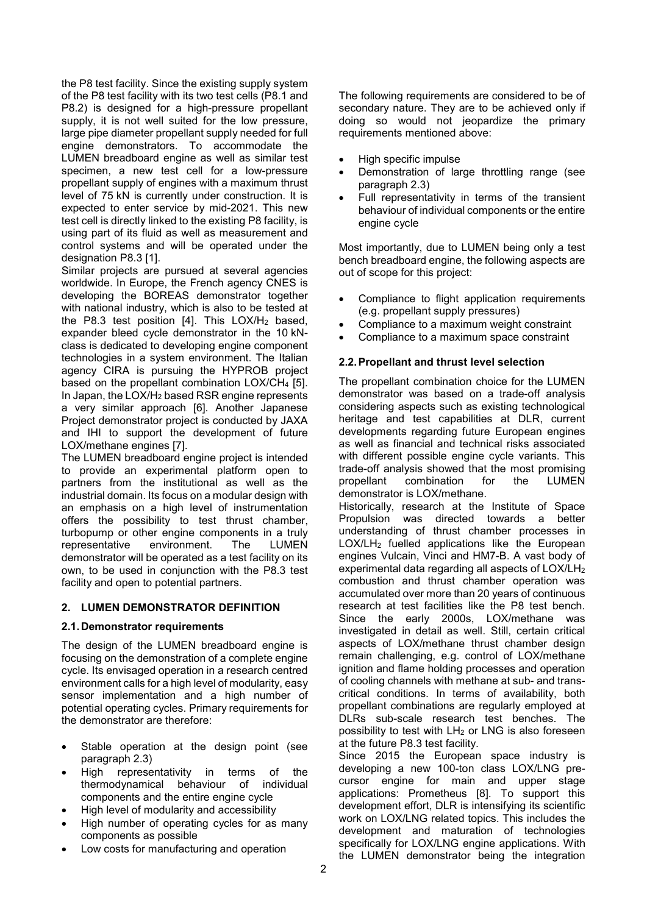the P8 test facility. Since the existing supply system of the P8 test facility with its two test cells (P8.1 and P8.2) is designed for a high-pressure propellant supply, it is not well suited for the low pressure, large pipe diameter propellant supply needed for full engine demonstrators. To accommodate the LUMEN breadboard engine as well as similar test specimen, a new test cell for a low-pressure propellant supply of engines with a maximum thrust level of 75 kN is currently under construction. It is expected to enter service by mid-2021. This new test cell is directly linked to the existing P8 facility, is using part of its fluid as well as measurement and control systems and will be operated under the designation P8.3 [1].

Similar projects are pursued at several agencies worldwide. In Europe, the French agency CNES is developing the BOREAS demonstrator together with national industry, which is also to be tested at the P8.3 test position  $[4]$ . This LOX/H<sub>2</sub> based, expander bleed cycle demonstrator in the 10 kNclass is dedicated to developing engine component technologies in a system environment. The Italian agency CIRA is pursuing the HYPROB project based on the propellant combination LOX/CH4 [5]. In Japan, the LOX/H2 based RSR engine represents a very similar approach [6]. Another Japanese Project demonstrator project is conducted by JAXA and IHI to support the development of future LOX/methane engines [7].

The LUMEN breadboard engine project is intended to provide an experimental platform open to partners from the institutional as well as the industrial domain. Its focus on a modular design with an emphasis on a high level of instrumentation offers the possibility to test thrust chamber, turbopump or other engine components in a truly representative environment. The LUMEN demonstrator will be operated as a test facility on its own, to be used in conjunction with the P8.3 test facility and open to potential partners.

# 2. LUMEN DEMONSTRATOR DEFINITION

#### 2.1.Demonstrator requirements

The design of the LUMEN breadboard engine is focusing on the demonstration of a complete engine cycle. Its envisaged operation in a research centred environment calls for a high level of modularity, easy sensor implementation and a high number of potential operating cycles. Primary requirements for the demonstrator are therefore:

- Stable operation at the design point (see paragraph 2.3)
- High representativity in terms of the thermodynamical behaviour of individual components and the entire engine cycle
- High level of modularity and accessibility
- High number of operating cycles for as many components as possible
- Low costs for manufacturing and operation

The following requirements are considered to be of secondary nature. They are to be achieved only if doing so would not jeopardize the primary requirements mentioned above:

- High specific impulse
- Demonstration of large throttling range (see paragraph 2.3)
- Full representativity in terms of the transient behaviour of individual components or the entire engine cycle

Most importantly, due to LUMEN being only a test bench breadboard engine, the following aspects are out of scope for this project:

- Compliance to flight application requirements (e.g. propellant supply pressures)
- Compliance to a maximum weight constraint
- Compliance to a maximum space constraint

### 2.2.Propellant and thrust level selection

The propellant combination choice for the LUMEN demonstrator was based on a trade-off analysis considering aspects such as existing technological heritage and test capabilities at DLR, current developments regarding future European engines as well as financial and technical risks associated with different possible engine cycle variants. This trade-off analysis showed that the most promising propellant combination for the LUMEN demonstrator is LOX/methane.

Historically, research at the Institute of Space Propulsion was directed towards a better understanding of thrust chamber processes in LOX/LH2 fuelled applications like the European engines Vulcain, Vinci and HM7-B. A vast body of experimental data regarding all aspects of LOX/LH2 combustion and thrust chamber operation was accumulated over more than 20 years of continuous research at test facilities like the P8 test bench. Since the early 2000s, LOX/methane was investigated in detail as well. Still, certain critical aspects of LOX/methane thrust chamber design remain challenging, e.g. control of LOX/methane ignition and flame holding processes and operation of cooling channels with methane at sub- and transcritical conditions. In terms of availability, both propellant combinations are regularly employed at DLRs sub-scale research test benches. The possibility to test with  $LH_2$  or LNG is also foreseen at the future P8.3 test facility.

Since 2015 the European space industry is developing a new 100-ton class LOX/LNG precursor engine for main and upper stage applications: Prometheus [8]. To support this development effort, DLR is intensifying its scientific work on LOX/LNG related topics. This includes the development and maturation of technologies specifically for LOX/LNG engine applications. With the LUMEN demonstrator being the integration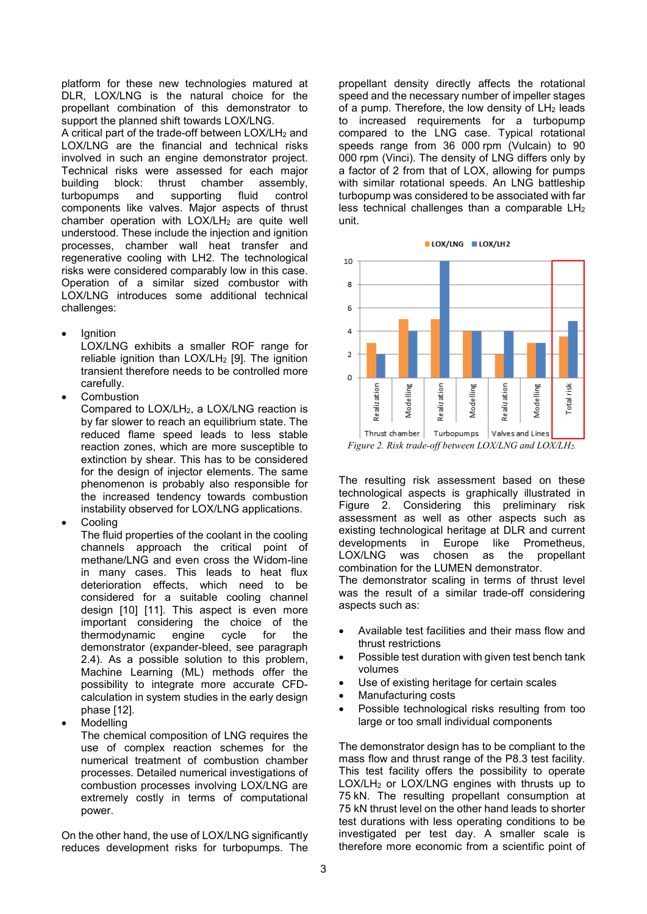platform for these new technologies matured at DLR, LOX/LNG is the natural choice for the propellant combination of this demonstrator to support the planned shift towards LOX/LNG.

A critical part of the trade-off between LOX/LH2 and LOX/LNG are the financial and technical risks involved in such an engine demonstrator project. Technical risks were assessed for each major building block: thrust chamber assembly, turbopumps and supporting fluid control components like valves. Major aspects of thrust chamber operation with  $LOX/LH<sub>2</sub>$  are quite well understood. These include the injection and ignition processes, chamber wall heat transfer and regenerative cooling with LH2. The technological risks were considered comparably low in this case. Operation of a similar sized combustor with LOX/LNG introduces some additional technical challenges:

Ignition

LOX/LNG exhibits a smaller ROF range for reliable ignition than  $LOX/LH<sub>2</sub>$  [9]. The ignition transient therefore needs to be controlled more carefully.

Combustion

Compared to LOX/LH2, a LOX/LNG reaction is by far slower to reach an equilibrium state. The reduced flame speed leads to less stable reaction zones, which are more susceptible to extinction by shear. This has to be considered for the design of injector elements. The same phenomenon is probably also responsible for the increased tendency towards combustion instability observed for LOX/LNG applications.

**Cooling** 

The fluid properties of the coolant in the cooling channels approach the critical point of methane/LNG and even cross the Widom-line in many cases. This leads to heat flux deterioration effects, which need to be considered for a suitable cooling channel design [10] [11]. This aspect is even more important considering the choice of the thermodynamic engine cycle for the demonstrator (expander-bleed, see paragraph 2.4). As a possible solution to this problem, Machine Learning (ML) methods offer the possibility to integrate more accurate CFDcalculation in system studies in the early design phase [12].

Modelling

The chemical composition of LNG requires the use of complex reaction schemes for the numerical treatment of combustion chamber processes. Detailed numerical investigations of combustion processes involving LOX/LNG are extremely costly in terms of computational power.

On the other hand, the use of LOX/LNG significantly reduces development risks for turbopumps. The propellant density directly affects the rotational speed and the necessary number of impeller stages of a pump. Therefore, the low density of  $LH<sub>2</sub>$  leads to increased requirements for a turbopump compared to the LNG case. Typical rotational speeds range from 36 000 rpm (Vulcain) to 90 000 rpm (Vinci). The density of LNG differs only by a factor of 2 from that of LOX, allowing for pumps with similar rotational speeds. An LNG battleship turbopump was considered to be associated with far less technical challenges than a comparable LH2 unit.



The resulting risk assessment based on these technological aspects is graphically illustrated in Figure 2. Considering this preliminary risk assessment as well as other aspects such as existing technological heritage at DLR and current developments in Europe like Prometheus, LOX/LNG was chosen as the propellant combination for the LUMEN demonstrator.

The demonstrator scaling in terms of thrust level was the result of a similar trade-off considering aspects such as:

- Available test facilities and their mass flow and thrust restrictions
- Possible test duration with given test bench tank volumes
- Use of existing heritage for certain scales
- Manufacturing costs
- Possible technological risks resulting from too large or too small individual components

The demonstrator design has to be compliant to the mass flow and thrust range of the P8.3 test facility. This test facility offers the possibility to operate LOX/LH2 or LOX/LNG engines with thrusts up to 75 kN. The resulting propellant consumption at 75 kN thrust level on the other hand leads to shorter test durations with less operating conditions to be investigated per test day. A smaller scale is therefore more economic from a scientific point of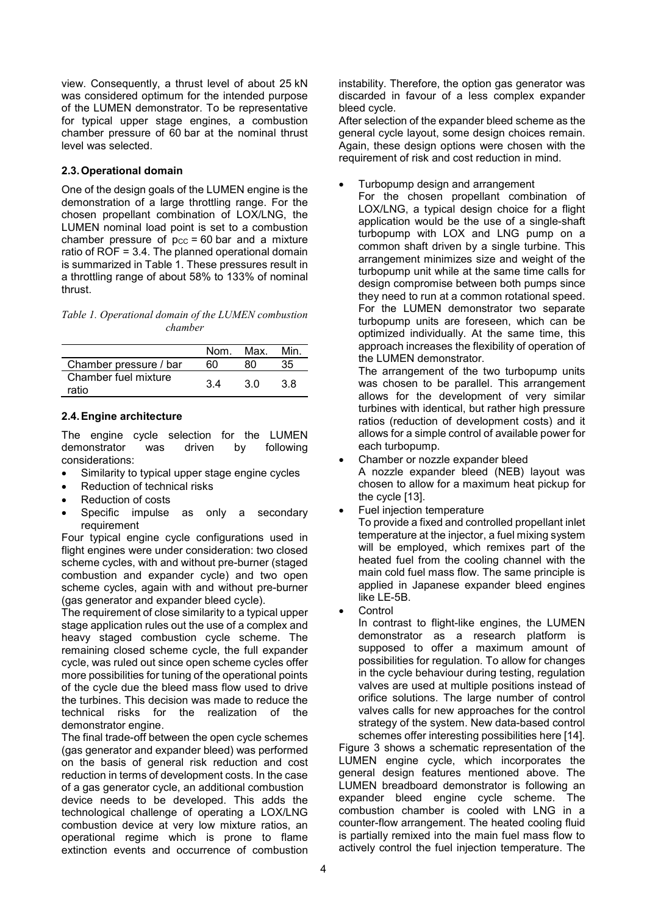view. Consequently, a thrust level of about 25 kN was considered optimum for the intended purpose of the LUMEN demonstrator. To be representative for typical upper stage engines, a combustion chamber pressure of 60 bar at the nominal thrust level was selected.

# 2.3.Operational domain

One of the design goals of the LUMEN engine is the demonstration of a large throttling range. For the chosen propellant combination of LOX/LNG, the LUMEN nominal load point is set to a combustion chamber pressure of  $p_{CC} = 60$  bar and a mixture ratio of ROF = 3.4. The planned operational domain is summarized in Table 1. These pressures result in a throttling range of about 58% to 133% of nominal thrust.

*Table 1. Operational domain of the LUMEN combustion chamber*

|                               | Nom | Max. | Min |
|-------------------------------|-----|------|-----|
| Chamber pressure / bar        |     |      |     |
| Chamber fuel mixture<br>ratio | 3 A | 3 O  | 3 R |

# 2.4.Engine architecture

The engine cycle selection for the LUMEN demonstrator was driven by following considerations:

- Similarity to typical upper stage engine cycles
- Reduction of technical risks
- Reduction of costs
- Specific impulse as only a secondary requirement

Four typical engine cycle configurations used in flight engines were under consideration: two closed scheme cycles, with and without pre-burner (staged combustion and expander cycle) and two open scheme cycles, again with and without pre-burner (gas generator and expander bleed cycle).

The requirement of close similarity to a typical upper stage application rules out the use of a complex and heavy staged combustion cycle scheme. The remaining closed scheme cycle, the full expander cycle, was ruled out since open scheme cycles offer more possibilities for tuning of the operational points of the cycle due the bleed mass flow used to drive the turbines. This decision was made to reduce the technical risks for the realization of the demonstrator engine.

The final trade-off between the open cycle schemes (gas generator and expander bleed) was performed on the basis of general risk reduction and cost reduction in terms of development costs. In the case of a gas generator cycle, an additional combustion device needs to be developed. This adds the

technological challenge of operating a LOX/LNG combustion device at very low mixture ratios, an operational regime which is prone to flame extinction events and occurrence of combustion instability. Therefore, the option gas generator was discarded in favour of a less complex expander bleed cycle.

After selection of the expander bleed scheme as the general cycle layout, some design choices remain. Again, these design options were chosen with the requirement of risk and cost reduction in mind.

Turbopump design and arrangement

For the chosen propellant combination of LOX/LNG, a typical design choice for a flight application would be the use of a single-shaft turbopump with LOX and LNG pump on a common shaft driven by a single turbine. This arrangement minimizes size and weight of the turbopump unit while at the same time calls for design compromise between both pumps since they need to run at a common rotational speed. For the LUMEN demonstrator two separate turbopump units are foreseen, which can be optimized individually. At the same time, this approach increases the flexibility of operation of the LUMEN demonstrator.

The arrangement of the two turbopump units was chosen to be parallel. This arrangement allows for the development of very similar turbines with identical, but rather high pressure ratios (reduction of development costs) and it allows for a simple control of available power for each turbopump.

- Chamber or nozzle expander bleed A nozzle expander bleed (NEB) layout was chosen to allow for a maximum heat pickup for the cycle [13].
- Fuel injection temperature

To provide a fixed and controlled propellant inlet temperature at the injector, a fuel mixing system will be employed, which remixes part of the heated fuel from the cooling channel with the main cold fuel mass flow. The same principle is applied in Japanese expander bleed engines like LE-5B.

Control

In contrast to flight-like engines, the LUMEN demonstrator as a research platform is supposed to offer a maximum amount of possibilities for regulation. To allow for changes in the cycle behaviour during testing, regulation valves are used at multiple positions instead of orifice solutions. The large number of control valves calls for new approaches for the control strategy of the system. New data-based control schemes offer interesting possibilities here [14].

Figure 3 shows a schematic representation of the LUMEN engine cycle, which incorporates the general design features mentioned above. The LUMEN breadboard demonstrator is following an expander bleed engine cycle scheme. The combustion chamber is cooled with LNG in a counter-flow arrangement. The heated cooling fluid is partially remixed into the main fuel mass flow to actively control the fuel injection temperature. The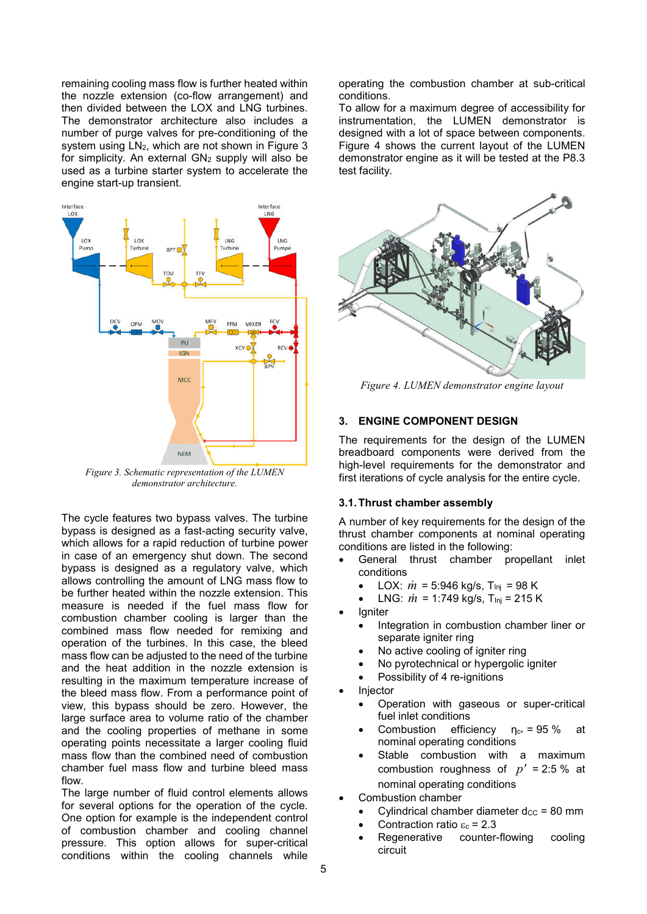remaining cooling mass flow is further heated within the nozzle extension (co-flow arrangement) and then divided between the LOX and LNG turbines. The demonstrator architecture also includes a number of purge valves for pre-conditioning of the system using  $LN<sub>2</sub>$ , which are not shown in Figure 3 for simplicity. An external  $GN_2$  supply will also be used as a turbine starter system to accelerate the engine start-up transient.



*Figure 3. Schematic representation of the LUMEN demonstrator architecture.*

The cycle features two bypass valves. The turbine bypass is designed as a fast-acting security valve, which allows for a rapid reduction of turbine power in case of an emergency shut down. The second bypass is designed as a regulatory valve, which allows controlling the amount of LNG mass flow to be further heated within the nozzle extension. This measure is needed if the fuel mass flow for combustion chamber cooling is larger than the combined mass flow needed for remixing and operation of the turbines. In this case, the bleed mass flow can be adjusted to the need of the turbine and the heat addition in the nozzle extension is resulting in the maximum temperature increase of the bleed mass flow. From a performance point of view, this bypass should be zero. However, the large surface area to volume ratio of the chamber and the cooling properties of methane in some operating points necessitate a larger cooling fluid mass flow than the combined need of combustion chamber fuel mass flow and turbine bleed mass flow.

The large number of fluid control elements allows for several options for the operation of the cycle. One option for example is the independent control of combustion chamber and cooling channel pressure. This option allows for super-critical conditions within the cooling channels while

operating the combustion chamber at sub-critical conditions.

To allow for a maximum degree of accessibility for instrumentation, the LUMEN demonstrator is designed with a lot of space between components. Figure 4 shows the current layout of the LUMEN demonstrator engine as it will be tested at the P8.3 test facility.



*Figure 4. LUMEN demonstrator engine layout*

# 3. ENGINE COMPONENT DESIGN

The requirements for the design of the LUMEN breadboard components were derived from the high-level requirements for the demonstrator and first iterations of cycle analysis for the entire cycle.

# 3.1.Thrust chamber assembly

A number of key requirements for the design of the thrust chamber components at nominal operating conditions are listed in the following:

- General thrust chamber propellant inlet conditions
	- LOX:  $\dot{m}$  = 5:946 kg/s, T<sub>inj</sub> = 98 K
	- LNG:  $\dot{m}$  = 1:749 kg/s, T<sub>Inj</sub> = 215 K
- Igniter
	- Integration in combustion chamber liner or separate igniter ring
	- No active cooling of igniter ring
	- No pyrotechnical or hypergolic igniter
	- Possibility of 4 re-ignitions
- Injector
	- Operation with gaseous or super-critical fuel inlet conditions
	- Combustion efficiency  $\eta_{c*} = 95 \%$  at nominal operating conditions
	- Stable combustion with a maximum combustion roughness of  $p' = 2:5$  % at nominal operating conditions
- Combustion chamber
	- Cylindrical chamber diameter  $d_{CC}$  = 80 mm
	- Contraction ratio  $\varepsilon_c = 2.3$
	- Regenerative counter-flowing cooling circuit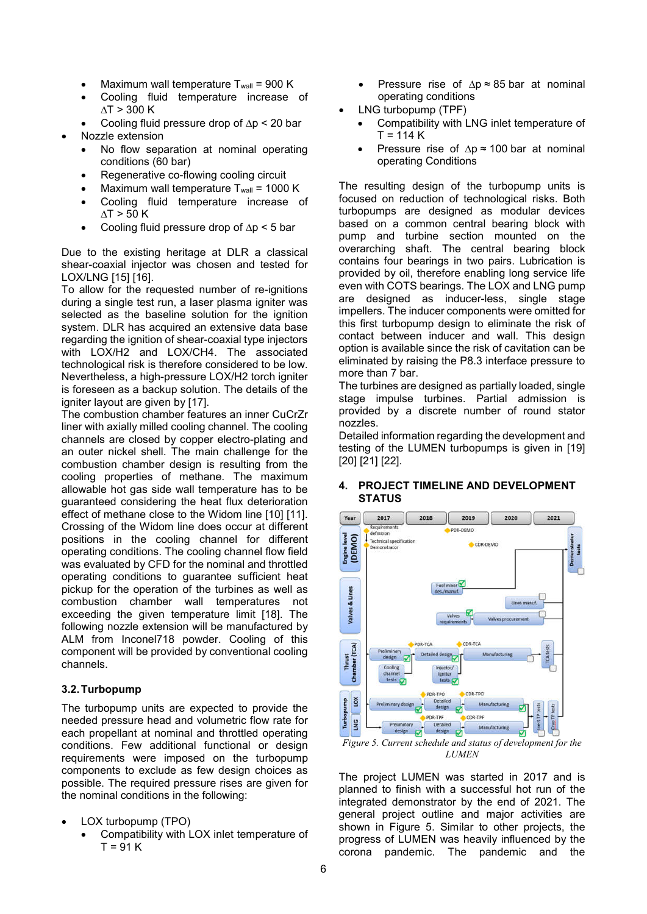- Maximum wall temperature  $T_{wall} = 900 K$
- Cooling fluid temperature increase of ∆T > 300 K
- Cooling fluid pressure drop of ∆p < 20 bar
- Nozzle extension
	- No flow separation at nominal operating conditions (60 bar)
	- Regenerative co-flowing cooling circuit
	- Maximum wall temperature  $T_{wall}$  = 1000 K
	- Cooling fluid temperature increase of ∆T > 50 K
	- Cooling fluid pressure drop of ∆p < 5 bar

Due to the existing heritage at DLR a classical shear-coaxial injector was chosen and tested for LOX/LNG [15] [16].

To allow for the requested number of re-ignitions during a single test run, a laser plasma igniter was selected as the baseline solution for the ignition system. DLR has acquired an extensive data base regarding the ignition of shear-coaxial type injectors with LOX/H2 and LOX/CH4. The associated technological risk is therefore considered to be low. Nevertheless, a high-pressure LOX/H2 torch igniter is foreseen as a backup solution. The details of the igniter layout are given by [17].

The combustion chamber features an inner CuCrZr liner with axially milled cooling channel. The cooling channels are closed by copper electro-plating and an outer nickel shell. The main challenge for the combustion chamber design is resulting from the cooling properties of methane. The maximum allowable hot gas side wall temperature has to be guaranteed considering the heat flux deterioration effect of methane close to the Widom line [10] [11]. Crossing of the Widom line does occur at different positions in the cooling channel for different operating conditions. The cooling channel flow field was evaluated by CFD for the nominal and throttled operating conditions to guarantee sufficient heat pickup for the operation of the turbines as well as combustion chamber wall temperatures not exceeding the given temperature limit [18]. The following nozzle extension will be manufactured by ALM from Inconel718 powder. Cooling of this component will be provided by conventional cooling channels.

# 3.2.Turbopump

The turbopump units are expected to provide the needed pressure head and volumetric flow rate for each propellant at nominal and throttled operating conditions. Few additional functional or design requirements were imposed on the turbopump components to exclude as few design choices as possible. The required pressure rises are given for the nominal conditions in the following:

- LOX turbopump (TPO)
	- Compatibility with LOX inlet temperature of  $T = 91 K$
- Pressure rise of ∆p ≈ 85 bar at nominal operating conditions
- LNG turbopump (TPF)
	- Compatibility with LNG inlet temperature of  $T = 114 K$
	- Pressure rise of ∆p ≈ 100 bar at nominal operating Conditions

The resulting design of the turbopump units is focused on reduction of technological risks. Both turbopumps are designed as modular devices based on a common central bearing block with pump and turbine section mounted on the overarching shaft. The central bearing block contains four bearings in two pairs. Lubrication is provided by oil, therefore enabling long service life even with COTS bearings. The LOX and LNG pump are designed as inducer-less, single stage impellers. The inducer components were omitted for this first turbopump design to eliminate the risk of contact between inducer and wall. This design option is available since the risk of cavitation can be eliminated by raising the P8.3 interface pressure to more than 7 bar.

The turbines are designed as partially loaded, single stage impulse turbines. Partial admission is provided by a discrete number of round stator nozzles.

Detailed information regarding the development and testing of the LUMEN turbopumps is given in [19] [20] [21] [22].



# 4. PROJECT TIMELINE AND DEVELOPMENT **STATUS**

The project LUMEN was started in 2017 and is planned to finish with a successful hot run of the integrated demonstrator by the end of 2021. The general project outline and major activities are shown in Figure 5. Similar to other projects, the progress of LUMEN was heavily influenced by the corona pandemic. The pandemic and the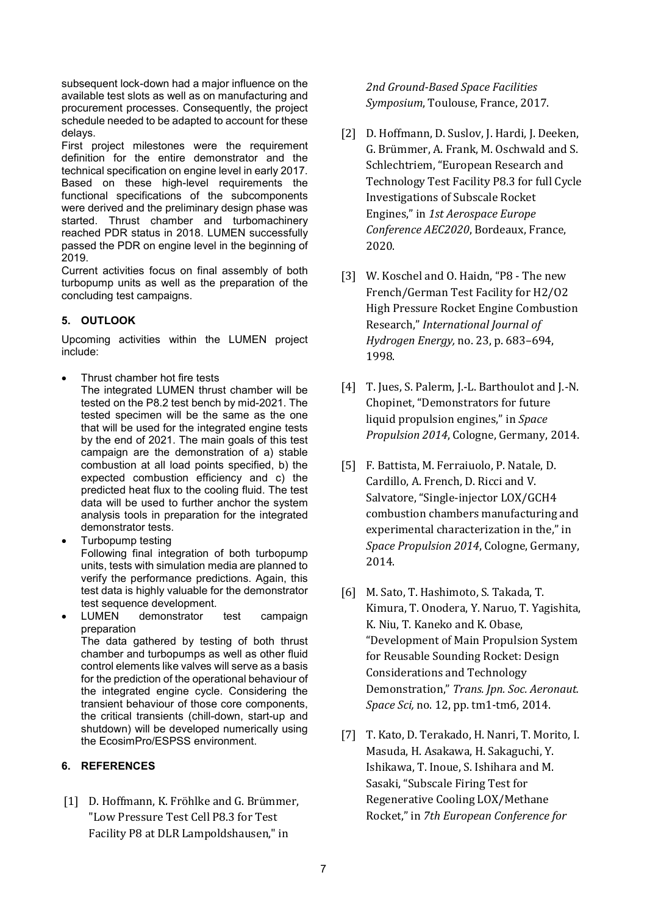subsequent lock-down had a major influence on the available test slots as well as on manufacturing and procurement processes. Consequently, the project schedule needed to be adapted to account for these delays.

First project milestones were the requirement definition for the entire demonstrator and the technical specification on engine level in early 2017. Based on these high-level requirements the functional specifications of the subcomponents were derived and the preliminary design phase was started. Thrust chamber and turbomachinery reached PDR status in 2018. LUMEN successfully passed the PDR on engine level in the beginning of 2019.

Current activities focus on final assembly of both turbopump units as well as the preparation of the concluding test campaigns.

# 5. OUTLOOK

Upcoming activities within the LUMEN project include:

- Thrust chamber hot fire tests The integrated LUMEN thrust chamber will be tested on the P8.2 test bench by mid-2021. The tested specimen will be the same as the one that will be used for the integrated engine tests by the end of 2021. The main goals of this test campaign are the demonstration of a) stable combustion at all load points specified, b) the expected combustion efficiency and c) the predicted heat flux to the cooling fluid. The test data will be used to further anchor the system analysis tools in preparation for the integrated demonstrator tests.
- Turbopump testing Following final integration of both turbopump units, tests with simulation media are planned to verify the performance predictions. Again, this test data is highly valuable for the demonstrator test sequence development.
- LUMEN demonstrator test campaign preparation The data gathered by testing of both thrust chamber and turbopumps as well as other fluid control elements like valves will serve as a basis for the prediction of the operational behaviour of the integrated engine cycle. Considering the transient behaviour of those core components, the critical transients (chill-down, start-up and shutdown) will be developed numerically using the EcosimPro/ESPSS environment.

# 6. REFERENCES

[1] D. Hoffmann, K. Fröhlke and G. Brümmer, "Low Pressure Test Cell P8.3 for Test Facility P8 at DLR Lampoldshausen," in

# *2nd Ground-Based Space Facilities Symposium*, Toulouse, France, 2017.

- [2] D. Hoffmann, D. Suslov, J. Hardi, J. Deeken, G. Brümmer, A. Frank, M. Oschwald and S. Schlechtriem, "European Research and Technology Test Facility P8.3 for full Cycle Investigations of Subscale Rocket Engines," in *1st Aerospace Europe Conference AEC2020*, Bordeaux, France, 2020.
- [3] W. Koschel and O. Haidn, "P8 The new French/German Test Facility for H2/O2 High Pressure Rocket Engine Combustion Research," *International Journal of Hydrogen Energy,* no. 23, p. 683–694, 1998.
- [4] T. Jues, S. Palerm, J.-L. Barthoulot and J.-N. Chopinet, "Demonstrators for future liquid propulsion engines," in *Space Propulsion 2014*, Cologne, Germany, 2014.
- [5] F. Battista, M. Ferraiuolo, P. Natale, D. Cardillo, A. French, D. Ricci and V. Salvatore, "Single-injector LOX/GCH4 combustion chambers manufacturing and experimental characterization in the," in *Space Propulsion 2014*, Cologne, Germany, 2014.
- [6] M. Sato, T. Hashimoto, S. Takada, T. Kimura, T. Onodera, Y. Naruo, T. Yagishita, K. Niu, T. Kaneko and K. Obase, "Development of Main Propulsion System for Reusable Sounding Rocket: Design Considerations and Technology Demonstration," *Trans. Jpn. Soc. Aeronaut. Space Sci,* no. 12, pp. tm1-tm6, 2014.
- [7] T. Kato, D. Terakado, H. Nanri, T. Morito, I. Masuda, H. Asakawa, H. Sakaguchi, Y. Ishikawa, T. Inoue, S. Ishihara and M. Sasaki, "Subscale Firing Test for Regenerative Cooling LOX/Methane Rocket," in *7th European Conference for*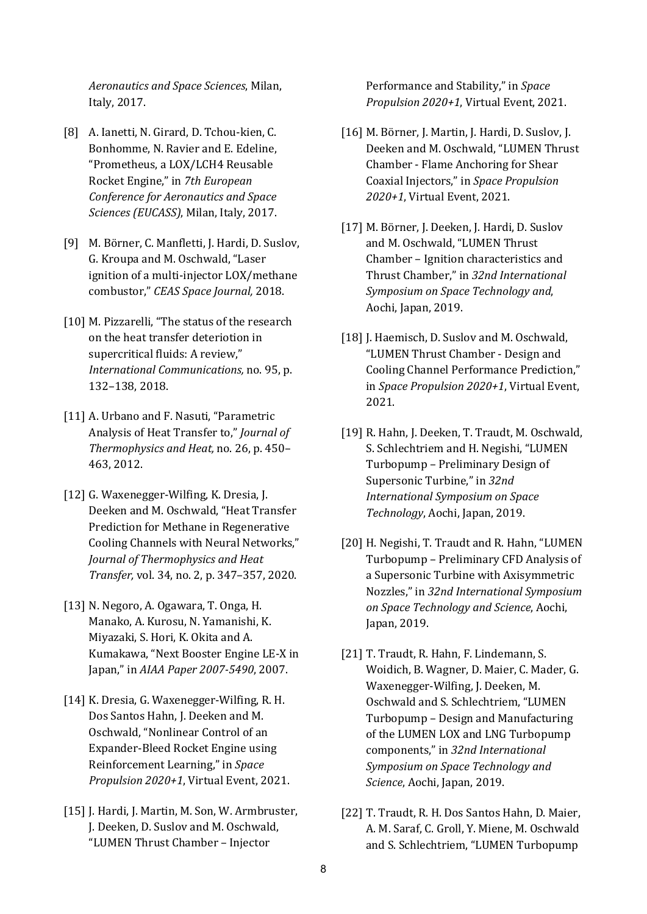*Aeronautics and Space Sciences*, Milan, Italy, 2017.

- [8] A. Ianetti, N. Girard, D. Tchou-kien, C. Bonhomme, N. Ravier and E. Edeline, "Prometheus, a LOX/LCH4 Reusable Rocket Engine," in *7th European Conference for Aeronautics and Space Sciences (EUCASS)*, Milan, Italy, 2017.
- [9] M. Börner, C. Manfletti, J. Hardi, D. Suslov, G. Kroupa and M. Oschwald, "Laser ignition of a multi-injector LOX/methane combustor," *CEAS Space Journal,* 2018.
- [10] M. Pizzarelli, "The status of the research on the heat transfer deteriotion in supercritical fluids: A review," *International Communications,* no. 95, p. 132–138, 2018.
- [11] A. Urbano and F. Nasuti, "Parametric Analysis of Heat Transfer to," *Journal of Thermophysics and Heat,* no. 26, p. 450– 463, 2012.
- [12] G. Waxenegger-Wilfing, K. Dresia, J. Deeken and M. Oschwald, "Heat Transfer Prediction for Methane in Regenerative Cooling Channels with Neural Networks," *Journal of Thermophysics and Heat Transfer,* vol. 34, no. 2, p. 347–357, 2020.
- [13] N. Negoro, A. Ogawara, T. Onga, H. Manako, A. Kurosu, N. Yamanishi, K. Miyazaki, S. Hori, K. Okita and A. Kumakawa, "Next Booster Engine LE-X in Japan," in *AIAA Paper 2007-5490*, 2007.
- [14] K. Dresia, G. Waxenegger-Wilfing, R. H. Dos Santos Hahn, J. Deeken and M. Oschwald, "Nonlinear Control of an Expander-Bleed Rocket Engine using Reinforcement Learning," in *Space Propulsion 2020+1*, Virtual Event, 2021.
- [15] J. Hardi, J. Martin, M. Son, W. Armbruster, J. Deeken, D. Suslov and M. Oschwald, "LUMEN Thrust Chamber – Injector

Performance and Stability," in *Space Propulsion 2020+1*, Virtual Event, 2021.

- [16] M. Börner, J. Martin, J. Hardi, D. Suslov, J. Deeken and M. Oschwald, "LUMEN Thrust Chamber - Flame Anchoring for Shear Coaxial Injectors," in *Space Propulsion 2020+1*, Virtual Event, 2021.
- [17] M. Börner, J. Deeken, J. Hardi, D. Suslov and M. Oschwald, "LUMEN Thrust Chamber – Ignition characteristics and Thrust Chamber," in *32nd International Symposium on Space Technology and*, Aochi, Japan, 2019.
- [18] J. Haemisch, D. Suslov and M. Oschwald, "LUMEN Thrust Chamber - Design and Cooling Channel Performance Prediction," in *Space Propulsion 2020+1*, Virtual Event, 2021.
- [19] R. Hahn, J. Deeken, T. Traudt, M. Oschwald, S. Schlechtriem and H. Negishi, "LUMEN Turbopump – Preliminary Design of Supersonic Turbine," in *32nd International Symposium on Space Technology*, Aochi, Japan, 2019.
- [20] H. Negishi, T. Traudt and R. Hahn, "LUMEN Turbopump – Preliminary CFD Analysis of a Supersonic Turbine with Axisymmetric Nozzles," in *32nd International Symposium on Space Technology and Science*, Aochi, Japan, 2019.
- [21] T. Traudt, R. Hahn, F. Lindemann, S. Woidich, B. Wagner, D. Maier, C. Mader, G. Waxenegger-Wilfing, J. Deeken, M. Oschwald and S. Schlechtriem, "LUMEN Turbopump – Design and Manufacturing of the LUMEN LOX and LNG Turbopump components," in *32nd International Symposium on Space Technology and Science*, Aochi, Japan, 2019.
- [22] T. Traudt, R. H. Dos Santos Hahn, D. Maier, A. M. Saraf, C. Groll, Y. Miene, M. Oschwald and S. Schlechtriem, "LUMEN Turbopump